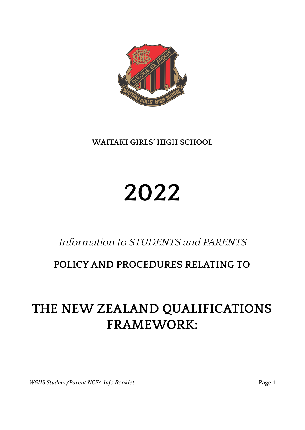

**WAITAKI GIRLS' HIGH SCHOOL**

# **2022**

## Information to STUDENTS and PARENTS

### **POLICYAND PROCEDURES RELATING TO**

## **THE NEW ZEALAND QUALIFICATIONS FRAMEWORK:**

*WGHS Student/Parent NCEA Info Booklet* Page 1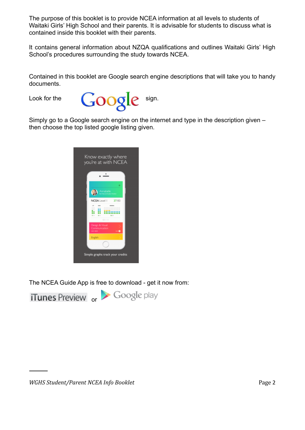The purpose of this booklet is to provide NCEA information at all levels to students of Waitaki Girls' High School and their parents. It is advisable for students to discuss what is contained inside this booklet with their parents.

It contains general information about NZQA qualifications and outlines Waitaki Girls' High School's procedures surrounding the study towards NCEA.

Contained in this booklet are Google search engine descriptions that will take you to handy documents.



Simply go to a Google search engine on the internet and type in the description given – then choose the top listed google listing given.



The NCEA Guide App is free to download - get it now from:

**iTunes Preview** or Google play

*WGHS Student/Parent NCEA Info Booklet* Page 2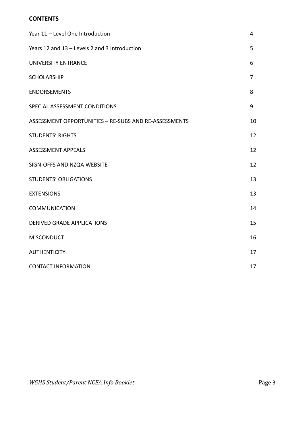#### **CONTENTS**

| Year 11 - Level One Introduction                      | 4  |
|-------------------------------------------------------|----|
| Years 12 and 13 - Levels 2 and 3 Introduction         | 5  |
| <b>UNIVERSITY ENTRANCE</b>                            | 6  |
| <b>SCHOLARSHIP</b>                                    | 7  |
| <b>ENDORSEMENTS</b>                                   | 8  |
| SPECIAL ASSESSMENT CONDITIONS                         | 9  |
| ASSESSMENT OPPORTUNITIES - RE-SUBS AND RE-ASSESSMENTS | 10 |
| <b>STUDENTS' RIGHTS</b>                               | 12 |
| <b>ASSESSMENT APPEALS</b>                             | 12 |
| SIGN-OFFS AND NZQA WEBSITE                            | 12 |
| <b>STUDENTS' OBLIGATIONS</b>                          | 13 |
| <b>EXTENSIONS</b>                                     | 13 |
| <b>COMMUNICATION</b>                                  | 14 |
| <b>DERIVED GRADE APPLICATIONS</b>                     | 15 |
| <b>MISCONDUCT</b>                                     | 16 |
| <b>AUTHENTICITY</b>                                   | 17 |
| <b>CONTACT INFORMATION</b>                            | 17 |

 $\overline{\phantom{a}}$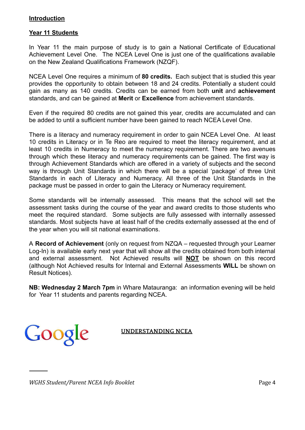#### **Introduction**

#### **Year 11 Students**

In Year 11 the main purpose of study is to gain a National Certificate of Educational Achievement Level One. The NCEA Level One is just one of the qualifications available on the New Zealand Qualifications Framework (NZQF).

NCEA Level One requires a minimum of **80 credits.** Each subject that is studied this year provides the opportunity to obtain between 18 and 24 credits. Potentially a student could gain as many as 140 credits. Credits can be earned from both **unit** and **achievement** standards, and can be gained at **Merit** or **Excellence** from achievement standards.

Even if the required 80 credits are not gained this year, credits are accumulated and can be added to until a sufficient number have been gained to reach NCEA Level One.

There is a literacy and numeracy requirement in order to gain NCEA Level One. At least 10 credits in Literacy or in Te Reo are required to meet the literacy requirement, and at least 10 credits in Numeracy to meet the numeracy requirement. There are two avenues through which these literacy and numeracy requirements can be gained. The first way is through Achievement Standards which are offered in a variety of subjects and the second way is through Unit Standards in which there will be a special 'package' of three Unit Standards in each of Literacy and Numeracy. All three of the Unit Standards in the package must be passed in order to gain the Literacy or Numeracy requirement.

Some standards will be internally assessed. This means that the school will set the assessment tasks during the course of the year and award credits to those students who meet the required standard. Some subjects are fully assessed with internally assessed standards. Most subjects have at least half of the credits externally assessed at the end of the year when you will sit national examinations.

A **Record of Achievement** (only on request from NZQA – requested through your Learner Log-In) is available early next year that will show all the credits obtained from both internal and external assessment. Not Achieved results will **NOT** be shown on this record (although Not Achieved results for Internal and External Assessments **WILL** be shown on Result Notices).

**NB: Wednesday 2 March 7pm** in Whare Matauranga: an information evening will be held for Year 11 students and parents regarding NCEA.

Google

#### **UNDERSTANDING NCEA**

*WGHS Student/Parent NCEA Info Booklet* Page 4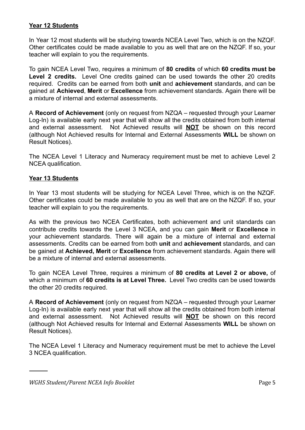#### **Year 12 Students**

In Year 12 most students will be studying towards NCEA Level Two, which is on the NZQF. Other certificates could be made available to you as well that are on the NZQF. If so, your teacher will explain to you the requirements.

To gain NCEA Level Two, requires a minimum of **80 credits** of which **60 credits must be Level 2 credits.** Level One credits gained can be used towards the other 20 credits required. Credits can be earned from both **unit** and **achievement** standards, and can be gained at **Achieved**, **Merit** or **Excellence** from achievement standards. Again there will be a mixture of internal and external assessments.

A **Record of Achievement** (only on request from NZQA – requested through your Learner Log-In) is available early next year that will show all the credits obtained from both internal and external assessment. Not Achieved results will **NOT** be shown on this record (although Not Achieved results for Internal and External Assessments **WILL** be shown on Result Notices).

The NCEA Level 1 Literacy and Numeracy requirement must be met to achieve Level 2 NCEA qualification.

#### **Year 13 Students**

In Year 13 most students will be studying for NCEA Level Three, which is on the NZQF. Other certificates could be made available to you as well that are on the NZQF. If so, your teacher will explain to you the requirements.

As with the previous two NCEA Certificates, both achievement and unit standards can contribute credits towards the Level 3 NCEA, and you can gain **Merit** or **Excellence** in your achievement standards. There will again be a mixture of internal and external assessments. Credits can be earned from both **unit** and **achievement** standards, and can be gained at **Achieved, Merit** or **Excellence** from achievement standards. Again there will be a mixture of internal and external assessments.

To gain NCEA Level Three, requires a minimum of **80 credits at Level 2 or above,** of which a minimum of **60 credits is at Level Three.** Level Two credits can be used towards the other 20 credits required.

A **Record of Achievement** (only on request from NZQA – requested through your Learner Log-In) is available early next year that will show all the credits obtained from both internal and external assessment. Not Achieved results will **NOT** be shown on this record (although Not Achieved results for Internal and External Assessments **WILL** be shown on Result Notices).

The NCEA Level 1 Literacy and Numeracy requirement must be met to achieve the Level 3 NCEA qualification.

*WGHS Student/Parent NCEA Info Booklet* Page 5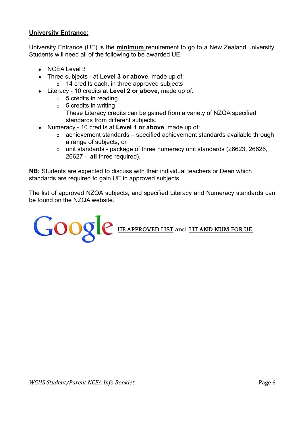#### **University Entrance:**

University Entrance (UE) is the **minimum** requirement to go to a New Zealand university. Students will need all of the following to be awarded UE:

- $\bullet$  NCEA Level 3
- Three subjects at **Level 3 or above**, made up of:
	- o 14 credits each, in three approved subjects
- Literacy 10 credits at **Level 2 or above**, made up of:
	- o 5 credits in reading
	- o 5 credits in writing These Literacy credits can be gained from a variety of NZQA specified standards from different subjects.
- Numeracy 10 credits at **Level 1 or above**, made up of:
	- o achievement standards specified achievement standards available through a range of subjects, or
	- o unit standards package of three numeracy unit standards (26623, 26626, 26627 - **all** three required).

**NB:** Students are expected to discuss with their individual teachers or Dean which standards are required to gain UE in approved subjects.

The list of approved NZQA subjects, and specified Literacy and Numeracy standards can be found on the NZQA website.

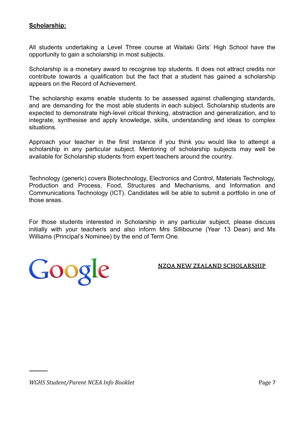#### **Scholarship:**

All students undertaking a Level Three course at Waitaki Girls' High School have the opportunity to gain a scholarship in most subjects.

Scholarship is a monetary award to recognise top students. It does not attract credits nor contribute towards a qualification but the fact that a student has gained a scholarship appears on the Record of Achievement.

The scholarship exams enable students to be assessed against challenging standards, and are demanding for the most able students in each subject. Scholarship students are expected to demonstrate high-level critical thinking, abstraction and generalization, and to integrate, synthesise and apply knowledge, skills, understanding and ideas to complex situations.

Approach your teacher in the first instance if you think you would like to attempt a scholarship in any particular subject. Mentoring of scholarship subjects may well be available for Scholarship students from expert teachers around the country.

Technology (generic) covers Biotechnology, Electronics and Control, Materials Technology, Production and Process, Food, Structures and Mechanisms, and Information and Communications Technology (ICT). Candidates will be able to submit a portfolio in one of those areas.

For those students interested in Scholarship in any particular subject, please discuss initially with your teacher/s and also inform Mrs Sillibourne (Year 13 Dean) and Ms Williams (Principal's Nominee) by the end of Term One.

**NZQA NEW ZEALAND SCHOLARSHIP**

Google

*WGHS Student/Parent NCEA Info Booklet* Page 7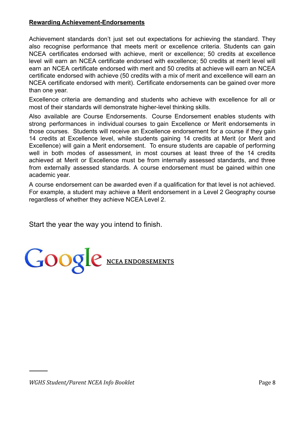#### **Rewarding Achievement-Endorsements**

Achievement standards don't just set out expectations for achieving the standard. They also recognise performance that meets merit or excellence criteria. Students can gain NCEA certificates endorsed with achieve, merit or excellence; 50 credits at excellence level will earn an NCEA certificate endorsed with excellence; 50 credits at merit level will earn an NCEA certificate endorsed with merit and 50 credits at achieve will earn an NCEA certificate endorsed with achieve (50 credits with a mix of merit and excellence will earn an NCEA certificate endorsed with merit). Certificate endorsements can be gained over more than one year.

Excellence criteria are demanding and students who achieve with excellence for all or most of their standards will demonstrate higher-level thinking skills.

Also available are Course Endorsements. Course Endorsement enables students with strong performances in individual courses to gain Excellence or Merit endorsements in those courses. Students will receive an Excellence endorsement for a course if they gain 14 credits at Excellence level, while students gaining 14 credits at Merit (or Merit and Excellence) will gain a Merit endorsement. To ensure students are capable of performing well in both modes of assessment, in most courses at least three of the 14 credits achieved at Merit or Excellence must be from internally assessed standards, and three from externally assessed standards. A course endorsement must be gained within one academic year.

A course endorsement can be awarded even if a qualification for that level is not achieved. For example, a student may achieve a Merit endorsement in a Level 2 Geography course regardless of whether they achieve NCEA Level 2.

Start the year the way you intend to finish.

GOOGLe NCEA ENDORSEMENTS

*WGHS Student/Parent NCEA Info Booklet* Page 8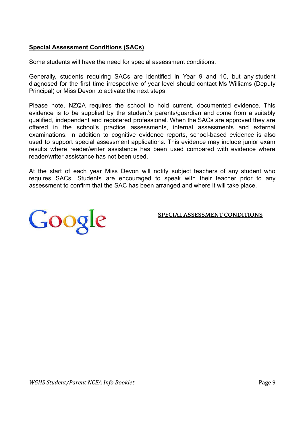#### **Special Assessment Conditions (SACs)**

Some students will have the need for special assessment conditions.

Generally, students requiring SACs are identified in Year 9 and 10, but any student diagnosed for the first time irrespective of year level should contact Ms Williams (Deputy Principal) or Miss Devon to activate the next steps.

Please note, NZQA requires the school to hold current, documented evidence. This evidence is to be supplied by the student's parents/guardian and come from a suitably qualified, independent and registered professional. When the SACs are approved they are offered in the school's practice assessments, internal assessments and external examinations. In addition to cognitive evidence reports, school-based evidence is also used to support special assessment applications. This evidence may include junior exam results where reader/writer assistance has been used compared with evidence where reader/writer assistance has not been used.

At the start of each year Miss Devon will notify subject teachers of any student who requires SACs. Students are encouraged to speak with their teacher prior to any assessment to confirm that the SAC has been arranged and where it will take place.



**SPECIALASSESSMENT CONDITIONS**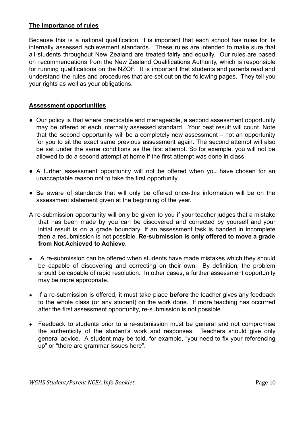#### **The importance of rules**

Because this is a national qualification, it is important that each school has rules for its internally assessed achievement standards. These rules are intended to make sure that all students throughout New Zealand are treated fairly and equally. Our rules are based on recommendations from the New Zealand Qualifications Authority, which is responsible for running qualifications on the NZQF. It is important that students and parents read and understand the rules and procedures that are set out on the following pages. They tell you your rights as well as your obligations.

#### **Assessment opportunities**

- Our policy is that where practicable and manageable, a second assessment opportunity may be offered at each internally assessed standard. Your best result will count. Note that the second opportunity will be a completely new assessment – not an opportunity for you to sit the exact same previous assessment again. The second attempt will also be sat under the same conditions as the first attempt. So for example, you will not be allowed to do a second attempt at home if the first attempt was done in class.
- A further assessment opportunity will not be offered when you have chosen for an unacceptable reason not to take the first opportunity.
- Be aware of standards that will only be offered once-this information will be on the assessment statement given at the beginning of the year.
- A re-submission opportunity will only be given to you if your teacher judges that a mistake that has been made by you can be discovered and corrected by yourself and your initial result is on a grade boundary. If an assessment task is handed in incomplete then a resubmission is not possible. **Re-submission is only offered to move a grade from Not Achieved to Achieve.**
- A re-submission can be offered when students have made mistakes which they should be capable of discovering and correcting on their own. By definition, the problem should be capable of rapid resolution**.** In other cases, a further assessment opportunity may be more appropriate.
- If a re-submission is offered, it must take place **before** the teacher gives any feedback to the whole class (or any student) on the work done. If more teaching has occurred after the first assessment opportunity, re-submission is not possible.
- Feedback to students prior to a re-submission must be general and not compromise the authenticity of the student's work and responses. Teachers should give only general advice. A student may be told, for example, "you need to fix your referencing up" or "there are grammar issues here".

*WGHS Student/Parent NCEA Info Booklet* Page 10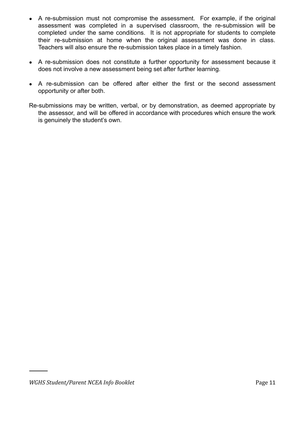- A re-submission must not compromise the assessment. For example, if the original assessment was completed in a supervised classroom, the re-submission will be completed under the same conditions. It is not appropriate for students to complete their re-submission at home when the original assessment was done in class. Teachers will also ensure the re-submission takes place in a timely fashion.
- A re-submission does not constitute a further opportunity for assessment because it does not involve a new assessment being set after further learning.
- A re-submission can be offered after either the first or the second assessment opportunity or after both.
- Re-submissions may be written, verbal, or by demonstration, as deemed appropriate by the assessor, and will be offered in accordance with procedures which ensure the work is genuinely the student's own.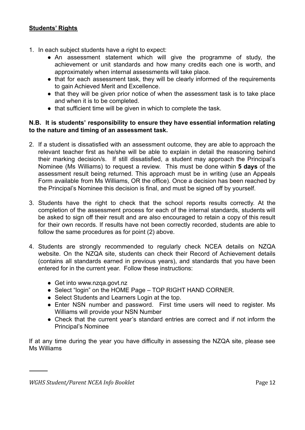#### **Students' Rights**

- 1. In each subject students have a right to expect:
	- An assessment statement which will give the programme of study, the achievement or unit standards and how many credits each one is worth, and approximately when internal assessments will take place.
	- that for each assessment task, they will be clearly informed of the requirements to gain Achieved Merit and Excellence.
	- that they will be given prior notice of when the assessment task is to take place and when it is to be completed.
	- that sufficient time will be given in which to complete the task.

#### **N.B. It is students' responsibility to ensure they have essential information relating to the nature and timing of an assessment task.**

- 2. If a student is dissatisfied with an assessment outcome, they are able to approach the relevant teacher first as he/she will be able to explain in detail the reasoning behind their marking decision/s. If still dissatisfied, a student may approach the Principal's Nominee (Ms Williams) to request a review. This must be done within **5 days** of the assessment result being returned. This approach must be in writing (use an Appeals Form available from Ms Williams, OR the office). Once a decision has been reached by the Principal's Nominee this decision is final, and must be signed off by yourself.
- 3. Students have the right to check that the school reports results correctly. At the completion of the assessment process for each of the internal standards, students will be asked to sign off their result and are also encouraged to retain a copy of this result for their own records. If results have not been correctly recorded, students are able to follow the same procedures as for point (2) above.
- 4. Students are strongly recommended to regularly check NCEA details on NZQA website. On the NZQA site, students can check their Record of Achievement details (contains all standards earned in previous years), and standards that you have been entered for in the current year. Follow these instructions:
	- Get into [www.nzqa.govt.nz](http://www.nzqa.govt.nz)
	- Select "login" on the HOME Page TOP RIGHT HAND CORNER.
	- Select Students and Learners Login at the top.
	- Enter NSN number and password. First time users will need to register. Ms Williams will provide your NSN Number
	- Check that the current year's standard entries are correct and if not inform the Principal's Nominee

If at any time during the year you have difficulty in assessing the NZQA site, please see Ms Williams

*WGHS Student/Parent NCEA Info Booklet* Page 12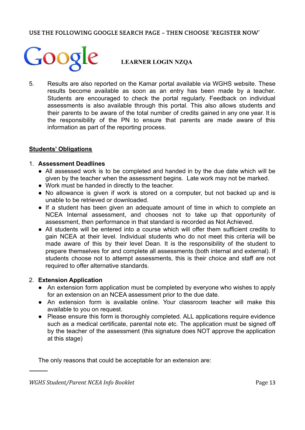#### **USE THE FOLLOWING GOOGLE SEARCH PAGE – THEN CHOOSE 'REGISTER NOW'**



#### **LEARNER LOGIN NZQA**

5. Results are also reported on the Kamar portal available via WGHS website. These results become available as soon as an entry has been made by a teacher. Students are encouraged to check the portal regularly. Feedback on individual assessments is also available through this portal. This also allows students and their parents to be aware of the total number of credits gained in any one year. It is the responsibility of the PN to ensure that parents are made aware of this information as part of the reporting process.

#### **Students' Obligations**

#### 1. **Assessment Deadlines**

- All assessed work is to be completed and handed in by the due date which will be given by the teacher when the assessment begins. Late work may not be marked.
- Work must be handed in directly to the teacher.
- No allowance is given if work is stored on a computer, but not backed up and is unable to be retrieved or downloaded.
- If a student has been given an adequate amount of time in which to complete an NCEA Internal assessment, and chooses not to take up that opportunity of assessment, then performance in that standard is recorded as Not Achieved.
- All students will be entered into a course which will offer them sufficient credits to gain NCEA at their level. Individual students who do not meet this criteria will be made aware of this by their level Dean. It is the responsibility of the student to prepare themselves for and complete all assessments (both internal and external). If students choose not to attempt assessments, this is their choice and staff are not required to offer alternative standards.

#### 2. **Extension Application**

- An extension form application must be completed by everyone who wishes to apply for an extension on an NCEA assessment prior to the due date.
- An extension form is available online. Your classroom teacher will make this available to you on request.
- Please ensure this form is thoroughly completed. ALL applications require evidence such as a medical certificate, parental note etc. The application must be signed off by the teacher of the assessment (this signature does NOT approve the application at this stage)

The only reasons that could be acceptable for an extension are: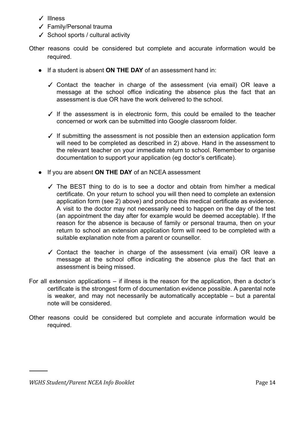- ✓ Illness
- ✓ Family/Personal trauma
- ✓ School sports / cultural activity
- Other reasons could be considered but complete and accurate information would be required.
	- If a student is absent **ON THE DAY** of an assessment hand in:
		- ✓ Contact the teacher in charge of the assessment (via email) OR leave a message at the school office indicating the absence plus the fact that an assessment is due OR have the work delivered to the school.
		- ✓ If the assessment is in electronic form, this could be emailed to the teacher concerned or work can be submitted into Google classroom folder.
		- $\checkmark$  If submitting the assessment is not possible then an extension application form will need to be completed as described in 2) above. Hand in the assessment to the relevant teacher on your immediate return to school. Remember to organise documentation to support your application (eg doctor's certificate).
	- If you are absent **ON THE DAY** of an NCEA assessment
		- ✓ The BEST thing to do is to see a doctor and obtain from him/her a medical certificate. On your return to school you will then need to complete an extension application form (see 2) above) and produce this medical certificate as evidence. A visit to the doctor may not necessarily need to happen on the day of the test (an appointment the day after for example would be deemed acceptable). If the reason for the absence is because of family or personal trauma, then on your return to school an extension application form will need to be completed with a suitable explanation note from a parent or counsellor.
		- ✓ Contact the teacher in charge of the assessment (via email) OR leave a message at the school office indicating the absence plus the fact that an assessment is being missed.
- For all extension applications if illness is the reason for the application, then a doctor's certificate is the strongest form of documentation evidence possible. A parental note is weaker, and may not necessarily be automatically acceptable – but a parental note will be considered.
- Other reasons could be considered but complete and accurate information would be required.

*WGHS Student/Parent NCEA Info Booklet* Page 14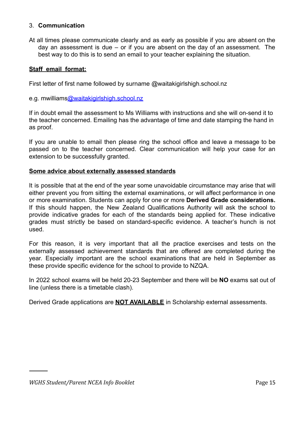#### 3. **Communication**

At all times please communicate clearly and as early as possible if you are absent on the day an assessment is due – or if you are absent on the day of an assessment. The best way to do this is to send an email to your teacher explaining the situation.

#### **Staff email format:**

First letter of first name followed by surname @waitakigirlshigh.school.nz

e.g. mwilliams[@waitakigirlshigh.school.nz](mailto:gpotter@waitakigirlshigh.school.nz)

If in doubt email the assessment to Ms Williams with instructions and she will on-send it to the teacher concerned. Emailing has the advantage of time and date stamping the hand in as proof.

If you are unable to email then please ring the school office and leave a message to be passed on to the teacher concerned. Clear communication will help your case for an extension to be successfully granted.

#### **Some advice about externally assessed standards**

It is possible that at the end of the year some unavoidable circumstance may arise that will either prevent you from sitting the external examinations, or will affect performance in one or more examination. Students can apply for one or more **Derived Grade considerations.** If this should happen, the New Zealand Qualifications Authority will ask the school to provide indicative grades for each of the standards being applied for. These indicative grades must strictly be based on standard-specific evidence. A teacher's hunch is not used.

For this reason, it is very important that all the practice exercises and tests on the externally assessed achievement standards that are offered are completed during the year. Especially important are the school examinations that are held in September as these provide specific evidence for the school to provide to NZQA.

In 2022 school exams will be held 20-23 September and there will be **NO** exams sat out of line (unless there is a timetable clash).

Derived Grade applications are **NOT AVAILABLE** in Scholarship external assessments.

*WGHS Student/Parent NCEA Info Booklet* Page 15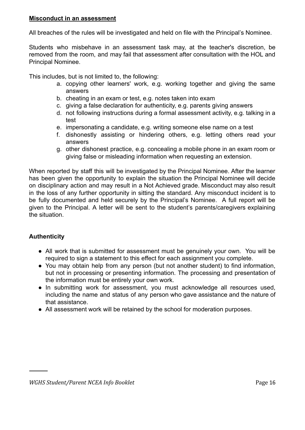#### **Misconduct in an assessment**

All breaches of the rules will be investigated and held on file with the Principal's Nominee.

Students who misbehave in an assessment task may, at the teacher's discretion, be removed from the room, and may fail that assessment after consultation with the HOL and Principal Nominee.

This includes, but is not limited to, the following:

- a. copying other learners' work, e.g. working together and giving the same answers
- b. cheating in an exam or test, e.g. notes taken into exam
- c. giving a false declaration for authenticity, e.g. parents giving answers
- d. not following instructions during a formal assessment activity, e.g. talking in a test
- e. impersonating a candidate, e.g. writing someone else name on a test
- f. dishonestly assisting or hindering others, e.g. letting others read your answers
- g. other dishonest practice, e.g. concealing a mobile phone in an exam room or giving false or misleading information when requesting an extension.

When reported by staff this will be investigated by the Principal Nominee. After the learner has been given the opportunity to explain the situation the Principal Nominee will decide on disciplinary action and may result in a Not Achieved grade. Misconduct may also result in the loss of any further opportunity in sitting the standard. Any misconduct incident is to be fully documented and held securely by the Principal's Nominee. A full report will be given to the Principal. A letter will be sent to the student's parents/caregivers explaining the situation.

#### **Authenticity**

- All work that is submitted for assessment must be genuinely your own. You will be required to sign a statement to this effect for each assignment you complete.
- You may obtain help from any person (but not another student) to find information, but not in processing or presenting information. The processing and presentation of the information must be entirely your own work.
- In submitting work for assessment, you must acknowledge all resources used, including the name and status of any person who gave assistance and the nature of that assistance.
- All assessment work will be retained by the school for moderation purposes.

*WGHS Student/Parent NCEA Info Booklet* Page 16